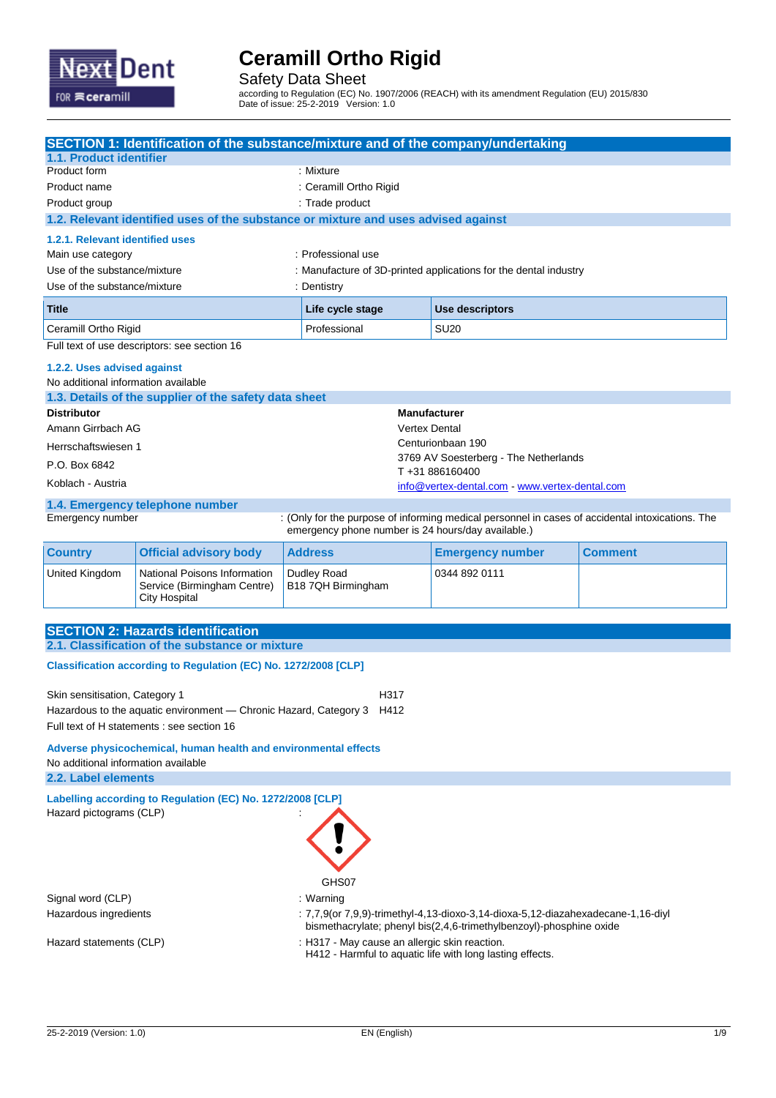

Safety Data Sheet

according to Regulation (EC) No. 1907/2006 (REACH) with its amendment Regulation (EU) 2015/830 Date of issue: 25-2-2019 Version: 1.0

|                                     | SECTION 1: Identification of the substance/mixture and of the company/undertaking   |                                                    |                                                                                                  |                |
|-------------------------------------|-------------------------------------------------------------------------------------|----------------------------------------------------|--------------------------------------------------------------------------------------------------|----------------|
| 1.1. Product identifier             |                                                                                     |                                                    |                                                                                                  |                |
| Product form                        |                                                                                     | : Mixture                                          |                                                                                                  |                |
| Product name                        |                                                                                     | : Ceramill Ortho Rigid                             |                                                                                                  |                |
| Product group                       |                                                                                     | : Trade product                                    |                                                                                                  |                |
|                                     | 1.2. Relevant identified uses of the substance or mixture and uses advised against  |                                                    |                                                                                                  |                |
| 1.2.1. Relevant identified uses     |                                                                                     |                                                    |                                                                                                  |                |
| Main use category                   |                                                                                     | : Professional use                                 |                                                                                                  |                |
| Use of the substance/mixture        |                                                                                     |                                                    | : Manufacture of 3D-printed applications for the dental industry                                 |                |
| Use of the substance/mixture        |                                                                                     | : Dentistry                                        |                                                                                                  |                |
| <b>Title</b>                        |                                                                                     | Life cycle stage                                   | <b>Use descriptors</b>                                                                           |                |
| Ceramill Ortho Rigid                |                                                                                     | Professional                                       | <b>SU20</b>                                                                                      |                |
|                                     | Full text of use descriptors: see section 16                                        |                                                    |                                                                                                  |                |
| 1.2.2. Uses advised against         |                                                                                     |                                                    |                                                                                                  |                |
| No additional information available |                                                                                     |                                                    |                                                                                                  |                |
|                                     | 1.3. Details of the supplier of the safety data sheet                               |                                                    |                                                                                                  |                |
| <b>Distributor</b>                  |                                                                                     |                                                    | <b>Manufacturer</b>                                                                              |                |
| Amann Girrbach AG                   |                                                                                     |                                                    | <b>Vertex Dental</b><br>Centurionbaan 190                                                        |                |
| Herrschaftswiesen 1                 |                                                                                     |                                                    | 3769 AV Soesterberg - The Netherlands                                                            |                |
| P.O. Box 6842                       |                                                                                     |                                                    | T+31886160400                                                                                    |                |
| Koblach - Austria                   |                                                                                     |                                                    | info@vertex-dental.com - www.vertex-dental.com                                                   |                |
|                                     | 1.4. Emergency telephone number                                                     |                                                    |                                                                                                  |                |
| Emergency number                    |                                                                                     | emergency phone number is 24 hours/day available.) | : (Only for the purpose of informing medical personnel in cases of accidental intoxications. The |                |
| <b>Country</b>                      | <b>Official advisory body</b>                                                       | <b>Address</b>                                     | <b>Emergency number</b>                                                                          | <b>Comment</b> |
| United Kingdom                      | National Poisons Information<br>Service (Birmingham Centre)<br><b>City Hospital</b> | Dudley Road<br>B18 7QH Birmingham                  | 0344 892 0111                                                                                    |                |
|                                     |                                                                                     |                                                    |                                                                                                  |                |
|                                     | <b>SECTION 2: Hazards identification</b>                                            |                                                    |                                                                                                  |                |
|                                     | 2.1. Classification of the substance or mixture                                     |                                                    |                                                                                                  |                |
|                                     | Classification according to Regulation (EC) No. 1272/2008 [CLP]                     |                                                    |                                                                                                  |                |
| Skin sensitisation, Category 1      |                                                                                     | H317                                               |                                                                                                  |                |
|                                     | Hazardous to the aquatic environment - Chronic Hazard, Category 3                   | H412                                               |                                                                                                  |                |
|                                     | Full text of H statements : see section 16                                          |                                                    |                                                                                                  |                |
|                                     | Adverse physicochemical, human health and environmental effects                     |                                                    |                                                                                                  |                |
| No additional information available |                                                                                     |                                                    |                                                                                                  |                |
| 2.2. Label elements                 |                                                                                     |                                                    |                                                                                                  |                |
|                                     | Labelling according to Regulation (EC) No. 1272/2008 [CLP]                          |                                                    |                                                                                                  |                |
| Hazard pictograms (CLP)             |                                                                                     |                                                    |                                                                                                  |                |
|                                     |                                                                                     |                                                    |                                                                                                  |                |
|                                     |                                                                                     |                                                    |                                                                                                  |                |
|                                     |                                                                                     |                                                    |                                                                                                  |                |
|                                     |                                                                                     | GHS07                                              |                                                                                                  |                |
| Signal word (CLP)                   |                                                                                     | : Warning                                          |                                                                                                  |                |
| Hazardous ingredients               |                                                                                     |                                                    | : 7,7,9(or 7,9,9)-trimethyl-4,13-dioxo-3,14-dioxa-5,12-diazahexadecane-1,16-diyl                 |                |
| Hazard statements (CLP)             |                                                                                     | : H317 - May cause an allergic skin reaction.      | bismethacrylate; phenyl bis(2,4,6-trimethylbenzoyl)-phosphine oxide                              |                |
|                                     |                                                                                     |                                                    | H412 - Harmful to aquatic life with long lasting effects.                                        |                |
|                                     |                                                                                     |                                                    |                                                                                                  |                |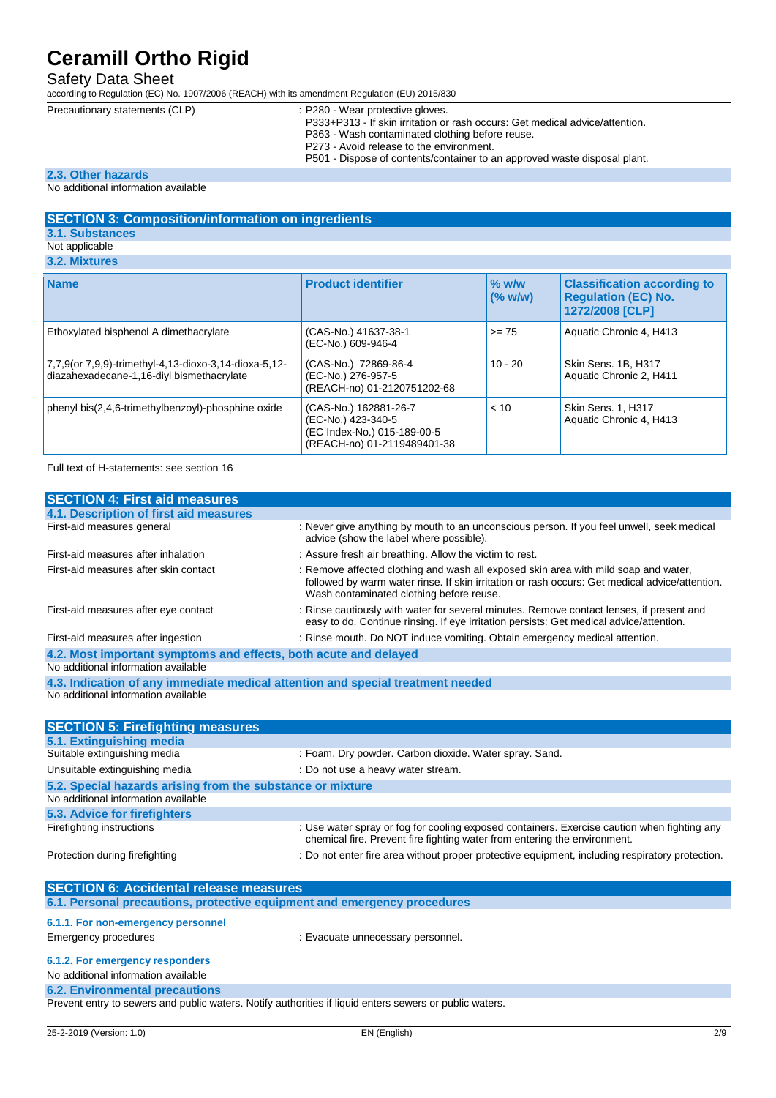## Safety Data Sheet

according to Regulation (EC) No. 1907/2006 (REACH) with its amendment Regulation (EU) 2015/830

- Precautionary statements (CLP) : P280 Wear protective gloves. P333+P313 - If skin irritation or rash occurs: Get medical advice/attention. P363 - Wash contaminated clothing before reuse.
	- P273 Avoid release to the environment.
	- P501 Dispose of contents/container to an approved waste disposal plant.

### **2.3. Other hazards**

#### No additional information available

## **SECTION 3: Composition/information on ingredients**

### **3.1. Substances**

Not applicable

### **3.2. Mixtures**

| <b>Name</b>                                                                                        | <b>Product identifier</b>                                                                                 | $%$ w/w<br>(% w/w) | <b>Classification according to</b><br><b>Regulation (EC) No.</b><br>1272/2008 [CLP] |
|----------------------------------------------------------------------------------------------------|-----------------------------------------------------------------------------------------------------------|--------------------|-------------------------------------------------------------------------------------|
| Ethoxylated bisphenol A dimethacrylate                                                             | (CAS-No.) 41637-38-1<br>(EC-No.) 609-946-4                                                                | $>= 75$            | Aquatic Chronic 4, H413                                                             |
| 7,7,9(or 7,9,9)-trimethyl-4,13-dioxo-3,14-dioxa-5,12-<br>diazahexadecane-1,16-diyl bismethacrylate | (CAS-No.) 72869-86-4<br>(EC-No.) 276-957-5<br>(REACH-no) 01-2120751202-68                                 | $10 - 20$          | Skin Sens. 1B, H317<br>Aquatic Chronic 2, H411                                      |
| phenyl bis(2,4,6-trimethylbenzoyl)-phosphine oxide                                                 | (CAS-No.) 162881-26-7<br>(EC-No.) 423-340-5<br>(EC Index-No.) 015-189-00-5<br>(REACH-no) 01-2119489401-38 | < 10               | <b>Skin Sens. 1, H317</b><br>Aquatic Chronic 4, H413                                |

Full text of H-statements: see section 16

| <b>SECTION 4: First aid measures</b>                                                                                      |                                                                                                                                                                                                                                   |
|---------------------------------------------------------------------------------------------------------------------------|-----------------------------------------------------------------------------------------------------------------------------------------------------------------------------------------------------------------------------------|
| 4.1. Description of first aid measures                                                                                    |                                                                                                                                                                                                                                   |
| First-aid measures general                                                                                                | : Never give anything by mouth to an unconscious person. If you feel unwell, seek medical<br>advice (show the label where possible).                                                                                              |
| First-aid measures after inhalation                                                                                       | : Assure fresh air breathing. Allow the victim to rest.                                                                                                                                                                           |
| First-aid measures after skin contact                                                                                     | : Remove affected clothing and wash all exposed skin area with mild soap and water,<br>followed by warm water rinse. If skin irritation or rash occurs: Get medical advice/attention.<br>Wash contaminated clothing before reuse. |
| First-aid measures after eye contact                                                                                      | : Rinse cautiously with water for several minutes. Remove contact lenses, if present and<br>easy to do. Continue rinsing. If eye irritation persists: Get medical advice/attention.                                               |
| First-aid measures after ingestion                                                                                        | : Rinse mouth. Do NOT induce vomiting. Obtain emergency medical attention.                                                                                                                                                        |
| 4.2. Most important symptoms and effects, both acute and delayed                                                          |                                                                                                                                                                                                                                   |
| No additional information available                                                                                       |                                                                                                                                                                                                                                   |
| 4.3. Indication of any immediate medical attention and special treatment needed                                           |                                                                                                                                                                                                                                   |
| No additional information available                                                                                       |                                                                                                                                                                                                                                   |
|                                                                                                                           |                                                                                                                                                                                                                                   |
|                                                                                                                           |                                                                                                                                                                                                                                   |
| <b>SECTION 5: Firefighting measures</b>                                                                                   |                                                                                                                                                                                                                                   |
| 5.1. Extinguishing media                                                                                                  |                                                                                                                                                                                                                                   |
| Suitable extinguishing media                                                                                              | : Foam. Dry powder. Carbon dioxide. Water spray. Sand.                                                                                                                                                                            |
| Unsuitable extinguishing media                                                                                            | : Do not use a heavy water stream.                                                                                                                                                                                                |
| 5.2. Special hazards arising from the substance or mixture                                                                |                                                                                                                                                                                                                                   |
| No additional information available                                                                                       |                                                                                                                                                                                                                                   |
| 5.3. Advice for firefighters                                                                                              |                                                                                                                                                                                                                                   |
| Firefighting instructions                                                                                                 | : Use water spray or fog for cooling exposed containers. Exercise caution when fighting any<br>chemical fire. Prevent fire fighting water from entering the environment.                                                          |
| Protection during firefighting                                                                                            | : Do not enter fire area without proper protective equipment, including respiratory protection.                                                                                                                                   |
|                                                                                                                           |                                                                                                                                                                                                                                   |
|                                                                                                                           |                                                                                                                                                                                                                                   |
| <b>SECTION 6: Accidental release measures</b><br>6.1. Personal precautions, protective equipment and emergency procedures |                                                                                                                                                                                                                                   |
| 6.1.1. For non-emergency personnel                                                                                        |                                                                                                                                                                                                                                   |

**6.1.2. For emergency responders**

No additional information available

## **6.2. Environmental precautions**

Prevent entry to sewers and public waters. Notify authorities if liquid enters sewers or public waters.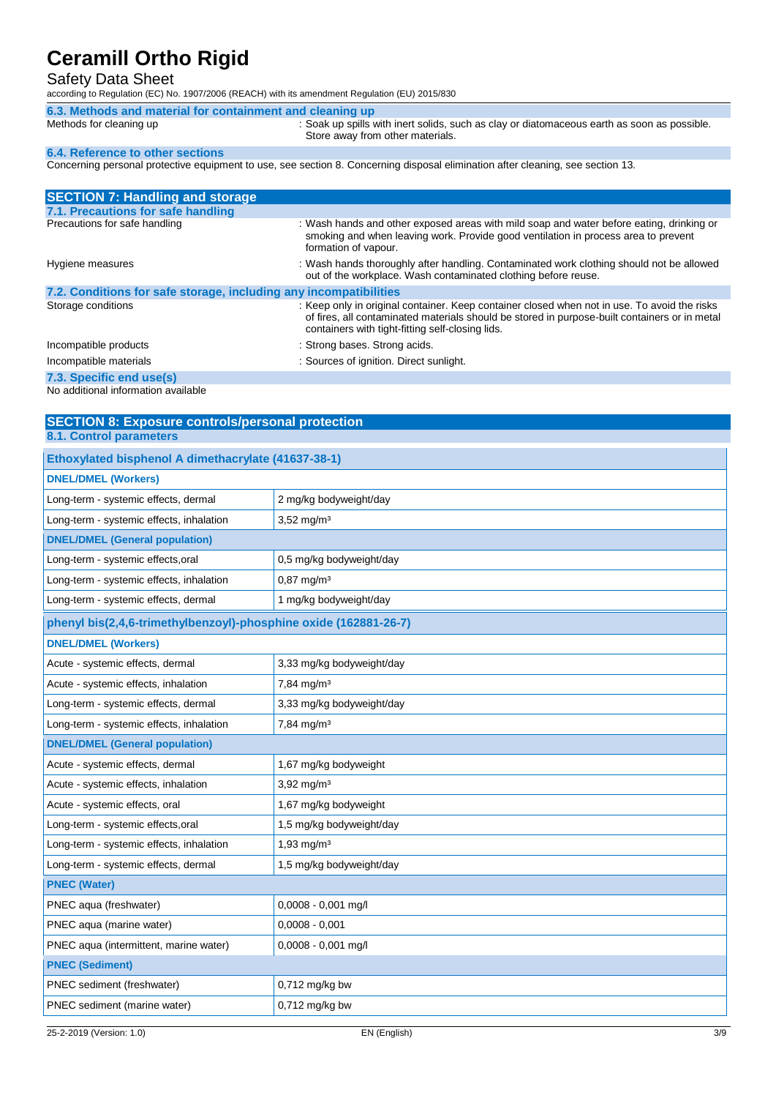### Safety Data Sheet

according to Regulation (EC) No. 1907/2006 (REACH) with its amendment Regulation (EU) 2015/830

| 6.3. Methods and material for containment and cleaning up |                                                                                                                                 |
|-----------------------------------------------------------|---------------------------------------------------------------------------------------------------------------------------------|
| Methods for cleaning up                                   | : Soak up spills with inert solids, such as clay or diatomaceous earth as soon as possible.<br>Store away from other materials. |
| <b>6.4. Reference to other sections</b>                   |                                                                                                                                 |
|                                                           |                                                                                                                                 |

Concerning personal protective equipment to use, see section 8. Concerning disposal elimination after cleaning, see section 13.

| <b>SECTION 7: Handling and storage</b>                            |                                                                                                                                                                                                                                                   |
|-------------------------------------------------------------------|---------------------------------------------------------------------------------------------------------------------------------------------------------------------------------------------------------------------------------------------------|
| 7.1. Precautions for safe handling                                |                                                                                                                                                                                                                                                   |
| Precautions for safe handling                                     | : Wash hands and other exposed areas with mild soap and water before eating, drinking or<br>smoking and when leaving work. Provide good ventilation in process area to prevent<br>formation of vapour.                                            |
| Hygiene measures                                                  | : Wash hands thoroughly after handling. Contaminated work clothing should not be allowed<br>out of the workplace. Wash contaminated clothing before reuse.                                                                                        |
| 7.2. Conditions for safe storage, including any incompatibilities |                                                                                                                                                                                                                                                   |
| Storage conditions                                                | : Keep only in original container. Keep container closed when not in use. To avoid the risks<br>of fires, all contaminated materials should be stored in purpose-built containers or in metal<br>containers with tight-fitting self-closing lids. |
| Incompatible products                                             | : Strong bases. Strong acids.                                                                                                                                                                                                                     |
| Incompatible materials                                            | : Sources of ignition. Direct sunlight.                                                                                                                                                                                                           |
| 7.3. Specific end use(s)<br>あまい しんけいしゅ こししょ ちゅうしょうしゅ しゅうせいしまい     |                                                                                                                                                                                                                                                   |

No additional information available

**SECTION 8: Exposure controls/personal protection 8.1. Control parameters**

| <b>DNEL/DMEL (Workers)</b><br>Long-term - systemic effects, dermal<br>2 mg/kg bodyweight/day<br>$3,52$ mg/m <sup>3</sup><br>Long-term - systemic effects, inhalation<br><b>DNEL/DMEL (General population)</b><br>Long-term - systemic effects, oral<br>0,5 mg/kg bodyweight/day<br>Long-term - systemic effects, inhalation<br>$0,87 \text{ mg/m}^3$<br>Long-term - systemic effects, dermal<br>1 mg/kg bodyweight/day<br>phenyl bis(2,4,6-trimethylbenzoyl)-phosphine oxide (162881-26-7)<br><b>DNEL/DMEL (Workers)</b><br>Acute - systemic effects, dermal<br>3,33 mg/kg bodyweight/day<br>7,84 mg/m <sup>3</sup><br>Acute - systemic effects, inhalation<br>Long-term - systemic effects, dermal<br>3,33 mg/kg bodyweight/day<br>Long-term - systemic effects, inhalation<br>$7,84$ mg/m <sup>3</sup><br><b>DNEL/DMEL (General population)</b><br>Acute - systemic effects, dermal<br>1,67 mg/kg bodyweight<br>$3,92$ mg/m <sup>3</sup><br>Acute - systemic effects, inhalation<br>Acute - systemic effects, oral<br>1,67 mg/kg bodyweight<br>Long-term - systemic effects, oral<br>1,5 mg/kg bodyweight/day<br>$1,93$ mg/m $3$<br>Long-term - systemic effects, inhalation<br>Long-term - systemic effects, dermal<br>1,5 mg/kg bodyweight/day<br><b>PNEC (Water)</b><br>PNEC aqua (freshwater)<br>0,0008 - 0,001 mg/l<br>$0,0008 - 0,001$<br>PNEC aqua (marine water)<br>PNEC aqua (intermittent, marine water)<br>0,0008 - 0,001 mg/l<br><b>PNEC (Sediment)</b> | Ethoxylated bisphenol A dimethacrylate (41637-38-1) |                |
|-----------------------------------------------------------------------------------------------------------------------------------------------------------------------------------------------------------------------------------------------------------------------------------------------------------------------------------------------------------------------------------------------------------------------------------------------------------------------------------------------------------------------------------------------------------------------------------------------------------------------------------------------------------------------------------------------------------------------------------------------------------------------------------------------------------------------------------------------------------------------------------------------------------------------------------------------------------------------------------------------------------------------------------------------------------------------------------------------------------------------------------------------------------------------------------------------------------------------------------------------------------------------------------------------------------------------------------------------------------------------------------------------------------------------------------------------------------------------|-----------------------------------------------------|----------------|
|                                                                                                                                                                                                                                                                                                                                                                                                                                                                                                                                                                                                                                                                                                                                                                                                                                                                                                                                                                                                                                                                                                                                                                                                                                                                                                                                                                                                                                                                       |                                                     |                |
|                                                                                                                                                                                                                                                                                                                                                                                                                                                                                                                                                                                                                                                                                                                                                                                                                                                                                                                                                                                                                                                                                                                                                                                                                                                                                                                                                                                                                                                                       |                                                     |                |
|                                                                                                                                                                                                                                                                                                                                                                                                                                                                                                                                                                                                                                                                                                                                                                                                                                                                                                                                                                                                                                                                                                                                                                                                                                                                                                                                                                                                                                                                       |                                                     |                |
|                                                                                                                                                                                                                                                                                                                                                                                                                                                                                                                                                                                                                                                                                                                                                                                                                                                                                                                                                                                                                                                                                                                                                                                                                                                                                                                                                                                                                                                                       |                                                     |                |
|                                                                                                                                                                                                                                                                                                                                                                                                                                                                                                                                                                                                                                                                                                                                                                                                                                                                                                                                                                                                                                                                                                                                                                                                                                                                                                                                                                                                                                                                       |                                                     |                |
|                                                                                                                                                                                                                                                                                                                                                                                                                                                                                                                                                                                                                                                                                                                                                                                                                                                                                                                                                                                                                                                                                                                                                                                                                                                                                                                                                                                                                                                                       |                                                     |                |
|                                                                                                                                                                                                                                                                                                                                                                                                                                                                                                                                                                                                                                                                                                                                                                                                                                                                                                                                                                                                                                                                                                                                                                                                                                                                                                                                                                                                                                                                       |                                                     |                |
|                                                                                                                                                                                                                                                                                                                                                                                                                                                                                                                                                                                                                                                                                                                                                                                                                                                                                                                                                                                                                                                                                                                                                                                                                                                                                                                                                                                                                                                                       |                                                     |                |
|                                                                                                                                                                                                                                                                                                                                                                                                                                                                                                                                                                                                                                                                                                                                                                                                                                                                                                                                                                                                                                                                                                                                                                                                                                                                                                                                                                                                                                                                       |                                                     |                |
|                                                                                                                                                                                                                                                                                                                                                                                                                                                                                                                                                                                                                                                                                                                                                                                                                                                                                                                                                                                                                                                                                                                                                                                                                                                                                                                                                                                                                                                                       |                                                     |                |
|                                                                                                                                                                                                                                                                                                                                                                                                                                                                                                                                                                                                                                                                                                                                                                                                                                                                                                                                                                                                                                                                                                                                                                                                                                                                                                                                                                                                                                                                       |                                                     |                |
|                                                                                                                                                                                                                                                                                                                                                                                                                                                                                                                                                                                                                                                                                                                                                                                                                                                                                                                                                                                                                                                                                                                                                                                                                                                                                                                                                                                                                                                                       |                                                     |                |
|                                                                                                                                                                                                                                                                                                                                                                                                                                                                                                                                                                                                                                                                                                                                                                                                                                                                                                                                                                                                                                                                                                                                                                                                                                                                                                                                                                                                                                                                       |                                                     |                |
|                                                                                                                                                                                                                                                                                                                                                                                                                                                                                                                                                                                                                                                                                                                                                                                                                                                                                                                                                                                                                                                                                                                                                                                                                                                                                                                                                                                                                                                                       |                                                     |                |
|                                                                                                                                                                                                                                                                                                                                                                                                                                                                                                                                                                                                                                                                                                                                                                                                                                                                                                                                                                                                                                                                                                                                                                                                                                                                                                                                                                                                                                                                       |                                                     |                |
|                                                                                                                                                                                                                                                                                                                                                                                                                                                                                                                                                                                                                                                                                                                                                                                                                                                                                                                                                                                                                                                                                                                                                                                                                                                                                                                                                                                                                                                                       |                                                     |                |
|                                                                                                                                                                                                                                                                                                                                                                                                                                                                                                                                                                                                                                                                                                                                                                                                                                                                                                                                                                                                                                                                                                                                                                                                                                                                                                                                                                                                                                                                       |                                                     |                |
|                                                                                                                                                                                                                                                                                                                                                                                                                                                                                                                                                                                                                                                                                                                                                                                                                                                                                                                                                                                                                                                                                                                                                                                                                                                                                                                                                                                                                                                                       |                                                     |                |
|                                                                                                                                                                                                                                                                                                                                                                                                                                                                                                                                                                                                                                                                                                                                                                                                                                                                                                                                                                                                                                                                                                                                                                                                                                                                                                                                                                                                                                                                       |                                                     |                |
|                                                                                                                                                                                                                                                                                                                                                                                                                                                                                                                                                                                                                                                                                                                                                                                                                                                                                                                                                                                                                                                                                                                                                                                                                                                                                                                                                                                                                                                                       |                                                     |                |
|                                                                                                                                                                                                                                                                                                                                                                                                                                                                                                                                                                                                                                                                                                                                                                                                                                                                                                                                                                                                                                                                                                                                                                                                                                                                                                                                                                                                                                                                       |                                                     |                |
|                                                                                                                                                                                                                                                                                                                                                                                                                                                                                                                                                                                                                                                                                                                                                                                                                                                                                                                                                                                                                                                                                                                                                                                                                                                                                                                                                                                                                                                                       |                                                     |                |
|                                                                                                                                                                                                                                                                                                                                                                                                                                                                                                                                                                                                                                                                                                                                                                                                                                                                                                                                                                                                                                                                                                                                                                                                                                                                                                                                                                                                                                                                       |                                                     |                |
|                                                                                                                                                                                                                                                                                                                                                                                                                                                                                                                                                                                                                                                                                                                                                                                                                                                                                                                                                                                                                                                                                                                                                                                                                                                                                                                                                                                                                                                                       |                                                     |                |
|                                                                                                                                                                                                                                                                                                                                                                                                                                                                                                                                                                                                                                                                                                                                                                                                                                                                                                                                                                                                                                                                                                                                                                                                                                                                                                                                                                                                                                                                       |                                                     |                |
|                                                                                                                                                                                                                                                                                                                                                                                                                                                                                                                                                                                                                                                                                                                                                                                                                                                                                                                                                                                                                                                                                                                                                                                                                                                                                                                                                                                                                                                                       | PNEC sediment (freshwater)                          | 0,712 mg/kg bw |
| PNEC sediment (marine water)<br>$0,712$ mg/kg bw                                                                                                                                                                                                                                                                                                                                                                                                                                                                                                                                                                                                                                                                                                                                                                                                                                                                                                                                                                                                                                                                                                                                                                                                                                                                                                                                                                                                                      |                                                     |                |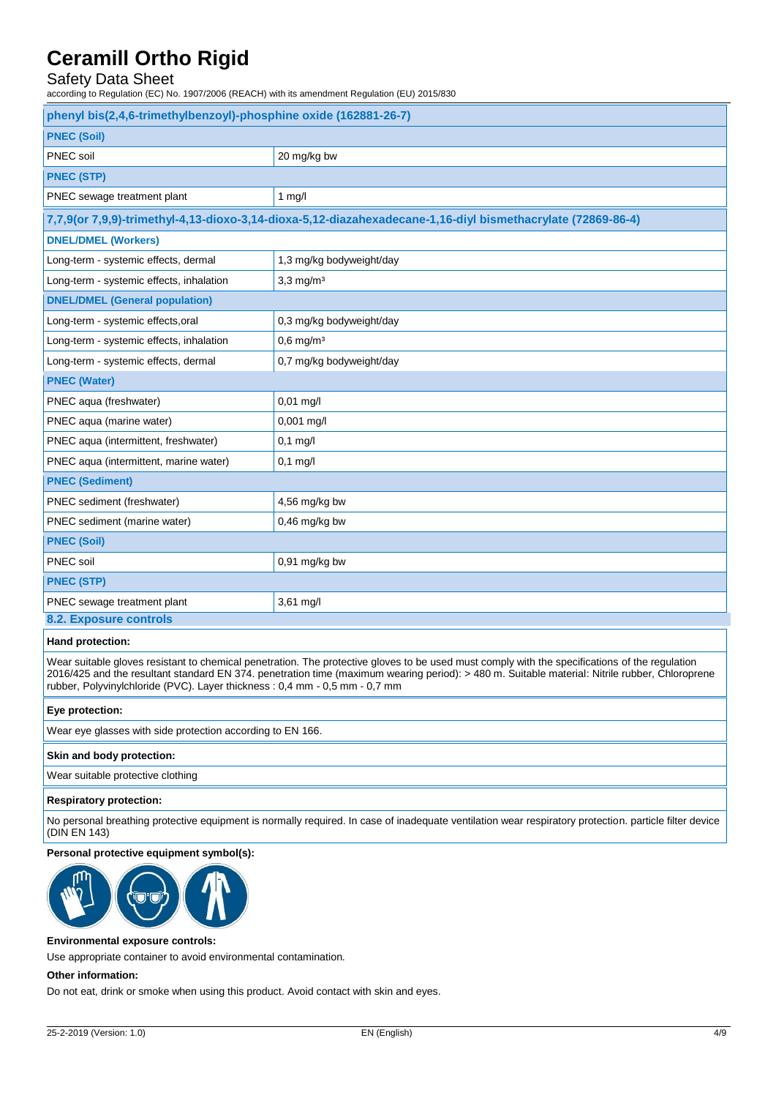## Safety Data Sheet

according to Regulation (EC) No. 1907/2006 (REACH) with its amendment Regulation (EU) 2015/830

| phenyl bis(2,4,6-trimethylbenzoyl)-phosphine oxide (162881-26-7)                                            |                          |  |
|-------------------------------------------------------------------------------------------------------------|--------------------------|--|
| <b>PNEC (Soil)</b>                                                                                          |                          |  |
| PNEC soil                                                                                                   | 20 mg/kg bw              |  |
| <b>PNEC (STP)</b>                                                                                           |                          |  |
| PNEC sewage treatment plant                                                                                 | $1$ mg/l                 |  |
| 7,7,9(or 7,9,9)-trimethyl-4,13-dioxo-3,14-dioxa-5,12-diazahexadecane-1,16-diyl bismethacrylate (72869-86-4) |                          |  |
| <b>DNEL/DMEL (Workers)</b>                                                                                  |                          |  |
| Long-term - systemic effects, dermal                                                                        | 1,3 mg/kg bodyweight/day |  |
| Long-term - systemic effects, inhalation                                                                    | $3,3$ mg/m <sup>3</sup>  |  |
| <b>DNEL/DMEL (General population)</b>                                                                       |                          |  |
| Long-term - systemic effects, oral                                                                          | 0,3 mg/kg bodyweight/day |  |
| Long-term - systemic effects, inhalation                                                                    | $0,6$ mg/m <sup>3</sup>  |  |
| Long-term - systemic effects, dermal                                                                        | 0,7 mg/kg bodyweight/day |  |
| <b>PNEC (Water)</b>                                                                                         |                          |  |
| PNEC aqua (freshwater)                                                                                      | 0,01 mg/l                |  |
| PNEC aqua (marine water)                                                                                    | 0,001 mg/l               |  |
| PNEC aqua (intermittent, freshwater)                                                                        | $0,1$ mg/l               |  |
| PNEC aqua (intermittent, marine water)                                                                      | $0,1$ mg/l               |  |
| <b>PNEC (Sediment)</b>                                                                                      |                          |  |
| PNEC sediment (freshwater)                                                                                  | 4,56 mg/kg bw            |  |
| PNEC sediment (marine water)                                                                                | 0,46 mg/kg bw            |  |
| <b>PNEC (Soil)</b>                                                                                          |                          |  |
| PNEC soil                                                                                                   | $0,91$ mg/kg bw          |  |
| <b>PNEC (STP)</b>                                                                                           |                          |  |
| PNEC sewage treatment plant                                                                                 | 3,61 mg/l                |  |
| 8.2. Exposure controls                                                                                      |                          |  |

#### **Hand protection:**

Wear suitable gloves resistant to chemical penetration. The protective gloves to be used must comply with the specifications of the regulation 2016/425 and the resultant standard EN 374. penetration time (maximum wearing period): > 480 m. Suitable material: Nitrile rubber, Chloroprene rubber, Polyvinylchloride (PVC). Layer thickness : 0,4 mm - 0,5 mm - 0,7 mm

### **Eye protection:**

Wear eye glasses with side protection according to EN 166.

#### **Skin and body protection:**

Wear suitable protective clothing

#### **Respiratory protection:**

No personal breathing protective equipment is normally required. In case of inadequate ventilation wear respiratory protection. particle filter device (DIN EN 143)

#### **Personal protective equipment symbol(s):**



#### **Environmental exposure controls:**

Use appropriate container to avoid environmental contamination.

#### **Other information:**

Do not eat, drink or smoke when using this product. Avoid contact with skin and eyes.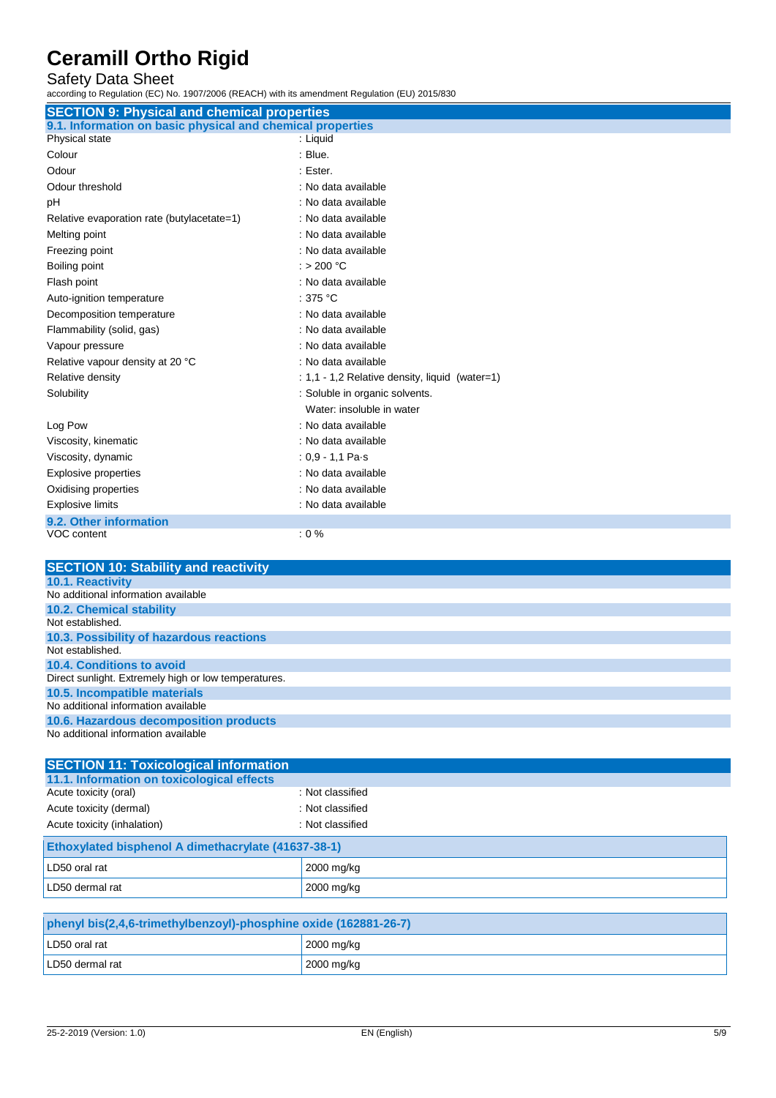## Safety Data Sheet

according to Regulation (EC) No. 1907/2006 (REACH) with its amendment Regulation (EU) 2015/830

| <b>SECTION 9: Physical and chemical properties</b>         |                                                |
|------------------------------------------------------------|------------------------------------------------|
| 9.1. Information on basic physical and chemical properties |                                                |
| Physical state                                             | : Liquid                                       |
| Colour                                                     | : Blue.                                        |
| Odour                                                      | : Ester.                                       |
| Odour threshold                                            | : No data available                            |
| pH                                                         | : No data available                            |
| Relative evaporation rate (butylacetate=1)                 | : No data available                            |
| Melting point                                              | : No data available                            |
| Freezing point                                             | : No data available                            |
| Boiling point                                              | : > 200 $^{\circ}$ C                           |
| Flash point                                                | : No data available                            |
| Auto-ignition temperature                                  | : 375 $^{\circ}$ C                             |
| Decomposition temperature                                  | : No data available                            |
| Flammability (solid, gas)                                  | : No data available                            |
| Vapour pressure                                            | : No data available                            |
| Relative vapour density at 20 °C                           | : No data available                            |
| Relative density                                           | : 1,1 - 1,2 Relative density, liquid (water=1) |
| Solubility                                                 | : Soluble in organic solvents.                 |
|                                                            | Water: insoluble in water                      |
| Log Pow                                                    | : No data available                            |
| Viscosity, kinematic                                       | : No data available                            |
| Viscosity, dynamic                                         | : $0,9 - 1,1$ Pa $\cdot$ s                     |
| <b>Explosive properties</b>                                | : No data available                            |
| Oxidising properties                                       | : No data available                            |
| <b>Explosive limits</b>                                    | : No data available                            |
| 9.2. Other information                                     |                                                |
| <b>VOC content</b>                                         | $: 0 \%$                                       |

| <b>SECTION 10: Stability and reactivity</b>          |
|------------------------------------------------------|
| <b>10.1. Reactivity</b>                              |
| No additional information available                  |
| <b>10.2. Chemical stability</b>                      |
| Not established.                                     |
| 10.3. Possibility of hazardous reactions             |
| Not established.                                     |
| 10.4. Conditions to avoid                            |
| Direct sunlight. Extremely high or low temperatures. |
| 10.5. Incompatible materials                         |
| No additional information available                  |
| 10.6. Hazardous decomposition products               |
| No additional information available                  |

| <b>SECTION 11: Toxicological information</b>        |                  |
|-----------------------------------------------------|------------------|
| 11.1. Information on toxicological effects          |                  |
| Acute toxicity (oral)                               | : Not classified |
| Acute toxicity (dermal)                             | : Not classified |
| Acute toxicity (inhalation)                         | : Not classified |
| Ethoxylated bisphenol A dimethacrylate (41637-38-1) |                  |
| LD50 oral rat                                       | 2000 mg/kg       |
| LD50 dermal rat                                     | 2000 mg/kg       |
|                                                     |                  |

| phenyl bis(2,4,6-trimethylbenzoyl)-phosphine oxide (162881-26-7) |                              |
|------------------------------------------------------------------|------------------------------|
| LD50 oral rat                                                    | $\frac{12000}{\text{mg/kg}}$ |
| LD50 dermal rat                                                  | $\sqrt{2000}$ mg/kg          |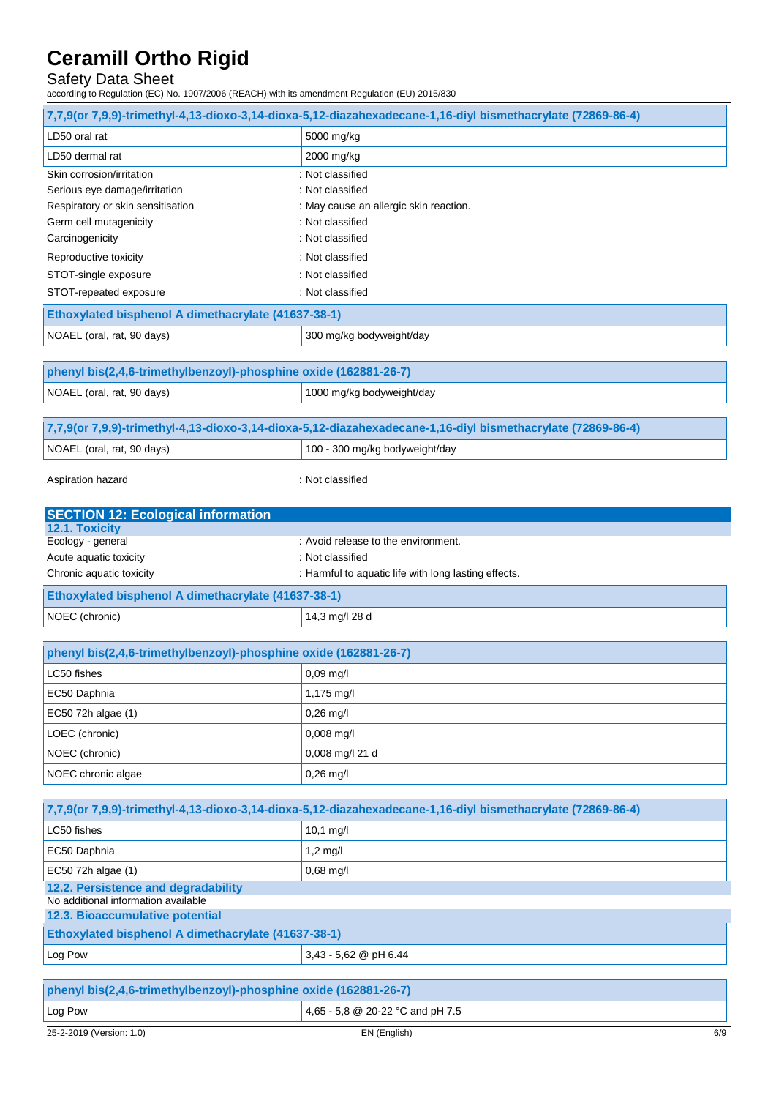## Safety Data Sheet

according to Regulation (EC) No. 1907/2006 (REACH) with its amendment Regulation (EU) 2015/830

|                                                                            | 7,7,9(or 7,9,9)-trimethyl-4,13-dioxo-3,14-dioxa-5,12-diazahexadecane-1,16-diyl bismethacrylate (72869-86-4) |
|----------------------------------------------------------------------------|-------------------------------------------------------------------------------------------------------------|
| LD50 oral rat                                                              | 5000 mg/kg                                                                                                  |
| LD50 dermal rat                                                            | 2000 mg/kg                                                                                                  |
| Skin corrosion/irritation                                                  | : Not classified                                                                                            |
| Serious eye damage/irritation                                              | : Not classified                                                                                            |
| Respiratory or skin sensitisation                                          | : May cause an allergic skin reaction.                                                                      |
| Germ cell mutagenicity                                                     | : Not classified                                                                                            |
| Carcinogenicity                                                            | : Not classified                                                                                            |
| Reproductive toxicity                                                      | : Not classified                                                                                            |
| STOT-single exposure                                                       | : Not classified                                                                                            |
| STOT-repeated exposure                                                     | : Not classified                                                                                            |
| Ethoxylated bisphenol A dimethacrylate (41637-38-1)                        |                                                                                                             |
| NOAEL (oral, rat, 90 days)                                                 | 300 mg/kg bodyweight/day                                                                                    |
|                                                                            |                                                                                                             |
| phenyl bis(2,4,6-trimethylbenzoyl)-phosphine oxide (162881-26-7)           |                                                                                                             |
| NOAEL (oral, rat, 90 days)                                                 | 1000 mg/kg bodyweight/day                                                                                   |
|                                                                            | 7,7,9(or 7,9,9)-trimethyl-4,13-dioxo-3,14-dioxa-5,12-diazahexadecane-1,16-diyl bismethacrylate (72869-86-4) |
| NOAEL (oral, rat, 90 days)                                                 | 100 - 300 mg/kg bodyweight/day                                                                              |
|                                                                            |                                                                                                             |
| Aspiration hazard                                                          | : Not classified                                                                                            |
| <b>SECTION 12: Ecological information</b>                                  |                                                                                                             |
| 12.1. Toxicity                                                             |                                                                                                             |
| Ecology - general                                                          | : Avoid release to the environment.                                                                         |
| Acute aquatic toxicity                                                     | : Not classified                                                                                            |
|                                                                            |                                                                                                             |
| Chronic aquatic toxicity                                                   | : Harmful to aquatic life with long lasting effects.                                                        |
| Ethoxylated bisphenol A dimethacrylate (41637-38-1)                        |                                                                                                             |
| NOEC (chronic)                                                             | 14,3 mg/l 28 d                                                                                              |
|                                                                            |                                                                                                             |
| phenyl bis(2,4,6-trimethylbenzoyl)-phosphine oxide (162881-26-7)           |                                                                                                             |
| LC50 fishes                                                                | 0,09 mg/l                                                                                                   |
| EC50 Daphnia                                                               | 1,175 mg/l                                                                                                  |
| EC50 72h algae (1)                                                         | $0.26$ mg/l                                                                                                 |
| LOEC (chronic)                                                             | $0,008$ mg/l                                                                                                |
| NOEC (chronic)                                                             | 0,008 mg/l 21 d                                                                                             |
| NOEC chronic algae                                                         | $0.26$ mg/l                                                                                                 |
|                                                                            |                                                                                                             |
|                                                                            | 7,7,9(or 7,9,9)-trimethyl-4,13-dioxo-3,14-dioxa-5,12-diazahexadecane-1,16-diyl bismethacrylate (72869-86-4) |
| LC50 fishes                                                                | $10.1$ mg/l                                                                                                 |
| EC50 Daphnia                                                               | $1,2$ mg/l                                                                                                  |
| EC50 72h algae (1)                                                         | 0,68 mg/l                                                                                                   |
| 12.2. Persistence and degradability<br>No additional information available |                                                                                                             |
| 12.3. Bioaccumulative potential                                            |                                                                                                             |
| Ethoxylated bisphenol A dimethacrylate (41637-38-1)                        |                                                                                                             |
| Log Pow                                                                    | 3,43 - 5,62 @ pH 6.44                                                                                       |
|                                                                            |                                                                                                             |
| phenyl bis(2,4,6-trimethylbenzoyl)-phosphine oxide (162881-26-7)           |                                                                                                             |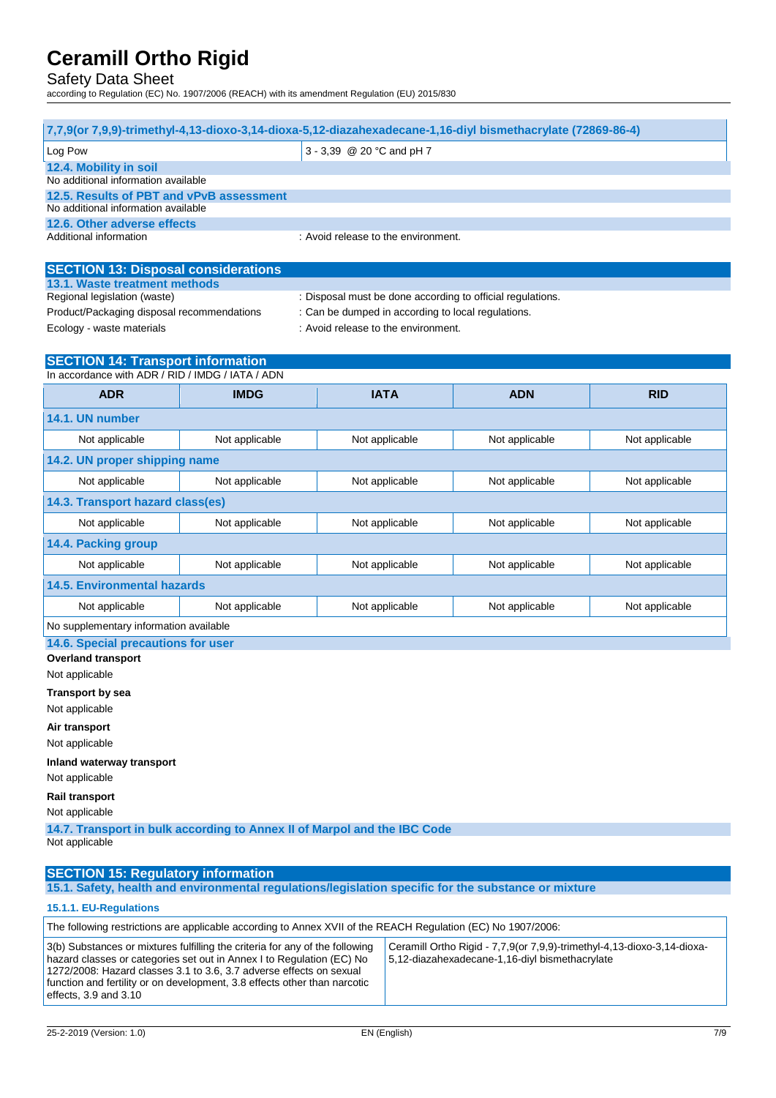## Safety Data Sheet

according to Regulation (EC) No. 1907/2006 (REACH) with its amendment Regulation (EU) 2015/830

| 7,7,9(or 7,9,9)-trimethyl-4,13-dioxo-3,14-dioxa-5,12-diazahexadecane-1,16-diyl bismethacrylate (72869-86-4) |                |                                                                                           |                |                |  |
|-------------------------------------------------------------------------------------------------------------|----------------|-------------------------------------------------------------------------------------------|----------------|----------------|--|
| Log Pow                                                                                                     |                | 3 - 3,39 @ 20 °C and pH 7                                                                 |                |                |  |
| 12.4. Mobility in soil<br>No additional information available                                               |                |                                                                                           |                |                |  |
| 12.5. Results of PBT and vPvB assessment                                                                    |                |                                                                                           |                |                |  |
| No additional information available<br>12.6. Other adverse effects                                          |                |                                                                                           |                |                |  |
| Additional information                                                                                      |                | : Avoid release to the environment.                                                       |                |                |  |
|                                                                                                             |                |                                                                                           |                |                |  |
| <b>SECTION 13: Disposal considerations</b>                                                                  |                |                                                                                           |                |                |  |
| 13.1. Waste treatment methods                                                                               |                |                                                                                           |                |                |  |
| Regional legislation (waste)                                                                                |                | : Disposal must be done according to official regulations.                                |                |                |  |
| Product/Packaging disposal recommendations<br>Ecology - waste materials                                     |                | : Can be dumped in according to local regulations.<br>: Avoid release to the environment. |                |                |  |
|                                                                                                             |                |                                                                                           |                |                |  |
| <b>SECTION 14: Transport information</b><br>In accordance with ADR / RID / IMDG / IATA / ADN                |                |                                                                                           |                |                |  |
| <b>ADR</b>                                                                                                  | <b>IMDG</b>    | <b>IATA</b>                                                                               | <b>ADN</b>     |                |  |
|                                                                                                             |                |                                                                                           |                | <b>RID</b>     |  |
| 14.1. UN number                                                                                             |                |                                                                                           |                |                |  |
| Not applicable                                                                                              | Not applicable | Not applicable                                                                            | Not applicable | Not applicable |  |
| 14.2. UN proper shipping name                                                                               |                |                                                                                           |                |                |  |
| Not applicable                                                                                              | Not applicable | Not applicable                                                                            | Not applicable | Not applicable |  |
| 14.3. Transport hazard class(es)                                                                            |                |                                                                                           |                |                |  |
| Not applicable                                                                                              | Not applicable | Not applicable                                                                            | Not applicable | Not applicable |  |
| 14.4. Packing group                                                                                         |                |                                                                                           |                |                |  |
| Not applicable                                                                                              | Not applicable | Not applicable                                                                            | Not applicable | Not applicable |  |
| <b>14.5. Environmental hazards</b>                                                                          |                |                                                                                           |                |                |  |
| Not applicable                                                                                              | Not applicable | Not applicable                                                                            | Not applicable | Not applicable |  |
| No supplementary information available                                                                      |                |                                                                                           |                |                |  |
| 14.6. Special precautions for user                                                                          |                |                                                                                           |                |                |  |
| <b>Overland transport</b>                                                                                   |                |                                                                                           |                |                |  |
| Not applicable                                                                                              |                |                                                                                           |                |                |  |
| <b>Transport by sea</b>                                                                                     |                |                                                                                           |                |                |  |
| Not applicable                                                                                              |                |                                                                                           |                |                |  |
| Air transport                                                                                               |                |                                                                                           |                |                |  |
| Not applicable                                                                                              |                |                                                                                           |                |                |  |
| Inland waterway transport                                                                                   |                |                                                                                           |                |                |  |
| Not applicable                                                                                              |                |                                                                                           |                |                |  |
| <b>Rail transport</b><br>Not applicable                                                                     |                |                                                                                           |                |                |  |
| 14.7. Transport in bulk according to Annex II of Marpol and the IBC Code                                    |                |                                                                                           |                |                |  |
| Not applicable                                                                                              |                |                                                                                           |                |                |  |
| <b>SECTION 15: Regulatory information</b>                                                                   |                |                                                                                           |                |                |  |

**15.1. Safety, health and environmental regulations/legislation specific for the substance or mixture**

### **15.1.1. EU-Regulations**

function and fertility or on development, 3.8 effects other than narcotic

| The following restrictions are applicable according to Annex XVII of the REACH Regulation (EC) No 1907/2006:                                                                                                                 |                                                                                                                          |  |  |  |
|------------------------------------------------------------------------------------------------------------------------------------------------------------------------------------------------------------------------------|--------------------------------------------------------------------------------------------------------------------------|--|--|--|
| 3(b) Substances or mixtures fulfilling the criteria for any of the following<br>hazard classes or categories set out in Annex I to Regulation (EC) No<br>1272/2008: Hazard classes 3.1 to 3.6, 3.7 adverse effects on sexual | Ceramill Ortho Rigid - 7,7,9(or 7,9,9) trimethyl-4,13-dioxo-3,14-dioxa<br>5,12-diazahexadecane-1,16-divl bismethacrylate |  |  |  |

effects, 3.9 and 3.10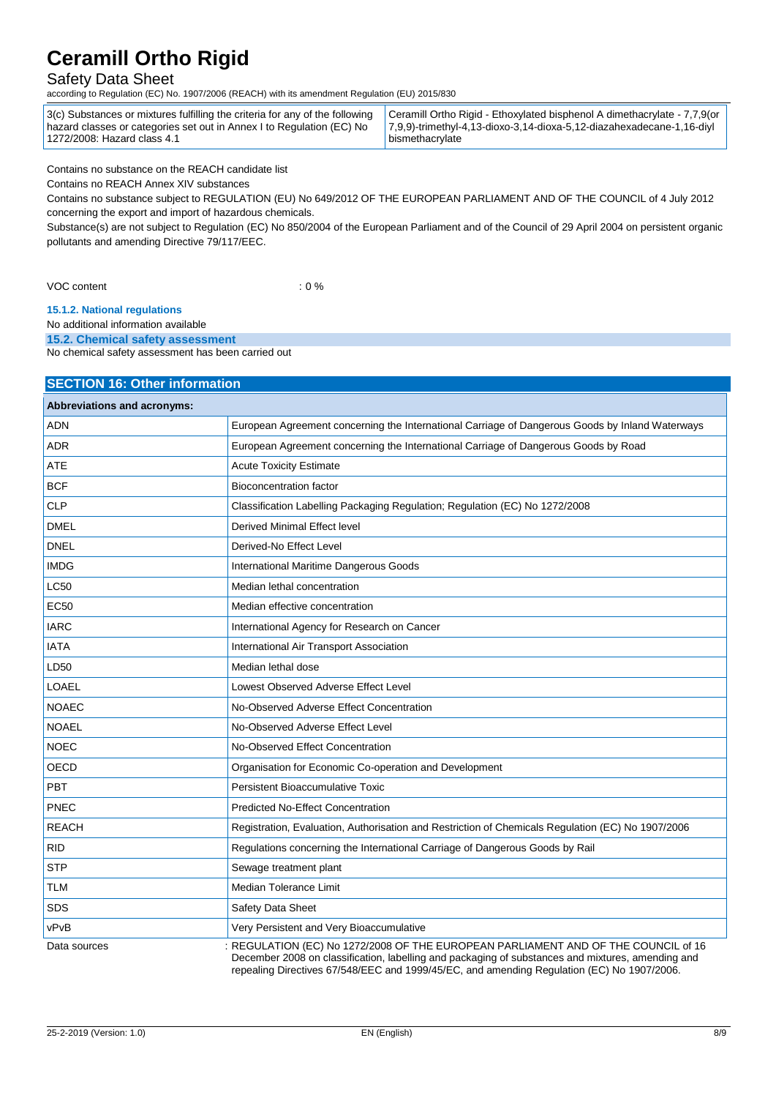## Safety Data Sheet

according to Regulation (EC) No. 1907/2006 (REACH) with its amendment Regulation (EU) 2015/830

| 3(c) Substances or mixtures fulfilling the criteria for any of the following $\,$   Ceramill Ortho Rigid - E |                                   |
|--------------------------------------------------------------------------------------------------------------|-----------------------------------|
| hazard classes or categories set out in Annex I to Regulation (EC) No                                        | $\vert$ 7,9,9)-trimethyl-4,13-dio |
| 1272/2008: Hazard class 4.1                                                                                  | bismethacrylate                   |

thoxylated bisphenol A dimethacrylate - 7,7,9(or xo-3,14-dioxa-5,12-diazahexadecane-1,16-diyl

Contains no substance on the REACH candidate list

Contains no REACH Annex XIV substances

Contains no substance subject to REGULATION (EU) No 649/2012 OF THE EUROPEAN PARLIAMENT AND OF THE COUNCIL of 4 July 2012 concerning the export and import of hazardous chemicals.

Substance(s) are not subject to Regulation (EC) No 850/2004 of the European Parliament and of the Council of 29 April 2004 on persistent organic pollutants and amending Directive 79/117/EEC.

VOC content : 0 %

**15.1.2. National regulations**

No additional information available

**15.2. Chemical safety assessment**

No chemical safety assessment has been carried out

### **SECTION 16: Other information**

| Abbreviations and acronyms: |                                                                                                   |  |
|-----------------------------|---------------------------------------------------------------------------------------------------|--|
| <b>ADN</b>                  | European Agreement concerning the International Carriage of Dangerous Goods by Inland Waterways   |  |
| <b>ADR</b>                  | European Agreement concerning the International Carriage of Dangerous Goods by Road               |  |
| <b>ATE</b>                  | <b>Acute Toxicity Estimate</b>                                                                    |  |
| <b>BCF</b>                  | <b>Bioconcentration factor</b>                                                                    |  |
| <b>CLP</b>                  | Classification Labelling Packaging Regulation; Regulation (EC) No 1272/2008                       |  |
| <b>DMEL</b>                 | Derived Minimal Effect level                                                                      |  |
| <b>DNEL</b>                 | Derived-No Effect Level                                                                           |  |
| <b>IMDG</b>                 | International Maritime Dangerous Goods                                                            |  |
| <b>LC50</b>                 | Median lethal concentration                                                                       |  |
| <b>EC50</b>                 | Median effective concentration                                                                    |  |
| <b>IARC</b>                 | International Agency for Research on Cancer                                                       |  |
| <b>IATA</b>                 | International Air Transport Association                                                           |  |
| LD50                        | Median lethal dose                                                                                |  |
| <b>LOAEL</b>                | Lowest Observed Adverse Effect Level                                                              |  |
| <b>NOAEC</b>                | No-Observed Adverse Effect Concentration                                                          |  |
| <b>NOAEL</b>                | No-Observed Adverse Effect Level                                                                  |  |
| <b>NOEC</b>                 | No-Observed Effect Concentration                                                                  |  |
| OECD                        | Organisation for Economic Co-operation and Development                                            |  |
| PBT                         | Persistent Bioaccumulative Toxic                                                                  |  |
| PNEC                        | <b>Predicted No-Effect Concentration</b>                                                          |  |
| <b>REACH</b>                | Registration, Evaluation, Authorisation and Restriction of Chemicals Regulation (EC) No 1907/2006 |  |
| <b>RID</b>                  | Regulations concerning the International Carriage of Dangerous Goods by Rail                      |  |
| <b>STP</b>                  | Sewage treatment plant                                                                            |  |
| <b>TLM</b>                  | Median Tolerance Limit                                                                            |  |
| <b>SDS</b>                  | Safety Data Sheet                                                                                 |  |
| vPvB                        | Very Persistent and Very Bioaccumulative                                                          |  |
| Data sources                | : REGULATION (EC) No 1272/2008 OF THE EUROPEAN PARLIAMENT AND OF THE COUNCIL of 16                |  |

December 2008 on classification, labelling and packaging of substances and mixtures, amending and repealing Directives 67/548/EEC and 1999/45/EC, and amending Regulation (EC) No 1907/2006.